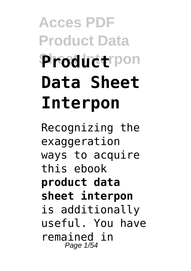# **Acces PDF Product Data Sheet Interpon Product Data Sheet Interpon**

Recognizing the exaggeration ways to acquire this ebook **product data sheet interpon** is additionally useful. You have remained in Page 1/54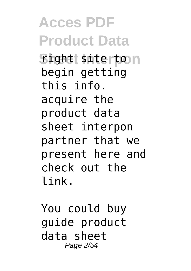**Acces PDF Product Data Sight siterton** begin getting this info. acquire the product data sheet interpon partner that we present here and check out the link.

You could buy guide product data sheet Page 2/54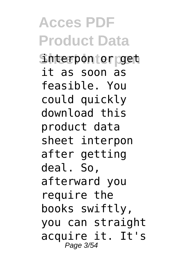**Acces PDF Product Data Sheet Interpon** interpon or get it as soon as feasible. You could quickly download this product data sheet interpon after getting deal. So, afterward you require the books swiftly, you can straight acquire it. It's Page 3/54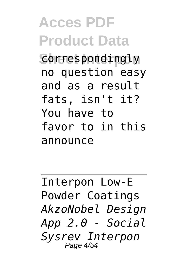### **Acces PDF Product Data Correspondingly** no question easy and as a result fats, isn't it? You have to favor to in this announce

Interpon Low-E Powder Coatings *AkzoNobel Design App 2.0 - Social Sysrev Interpon* Page 4/54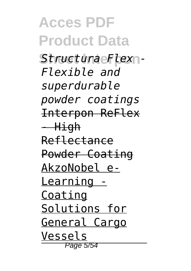**Acces PDF Product Data Sheet Interpon** *Structura Flex - Flexible and superdurable powder coatings* Interpon ReFlex - High Reflectance Powder Coating AkzoNobel e-Learning - Coating Solutions for General Cargo Vessels Page 5/54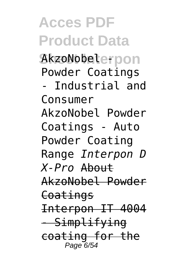# **Acces PDF Product Data**

**Sheet Interpon** AkzoNobel - Powder Coatings

- Industrial and Consumer AkzoNobel Powder Coatings - Auto Powder Coating Range *Interpon D X-Pro* About AkzoNobel Powder Coatings Interpon IT 4004 - Simplifying

coating for the Page 6/54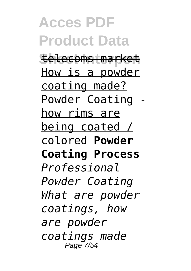**Acces PDF Product Data Sheet Interpon** telecoms market How is a powder coating made? Powder Coating how rims are being coated / colored **Powder Coating Process** *Professional Powder Coating What are powder coatings, how are powder coatings made* Page 7/54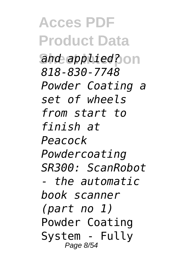**Acces PDF Product Data** and *applied*?on *818-830-7748 Powder Coating a set of wheels from start to finish at Peacock Powdercoating SR300: ScanRobot - the automatic book scanner (part no 1)* Powder Coating System - Fully Page 8/54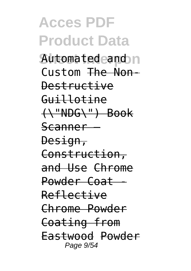# **Acces PDF Product Data**

**Sheet Interpon** Automated and Custom The Non-Destructive Guillotine (\"NDG\") Book Scanner – Design, Construction, and Use Chrome Powder Coat Reflective Chrome Powder Coating from Eastwood Powder Page 9/54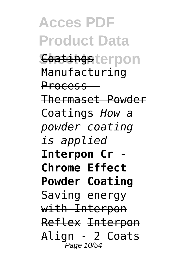**Acces PDF Product Data Soatingsterpon** Manufacturing Process - Thermaset Powder Coatings *How a powder coating is applied* **Interpon Cr - Chrome Effect Powder Coating** Saving energy with Interpon Reflex Interpon Align - 2 Coats Page 10/54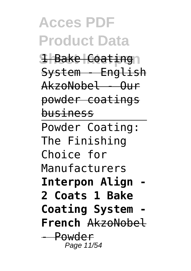#### **Acces PDF Product Data 1 Bake Coating** System - English AkzoNobel - Our powder coatings business Powder Coating: The Finishing Choice for Manufacturers **Interpon Align - 2 Coats 1 Bake Coating System French** AkzoNobel - Powder Page 11/54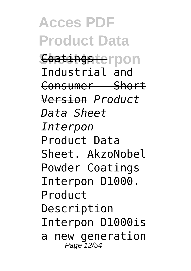**Acces PDF Product Data Coatings erpon** Industrial and Consumer - Short Version *Product Data Sheet Interpon* Product Data Sheet. AkzoNobel Powder Coatings Interpon D1000. Product Description Interpon D1000is a new generation Page 12/54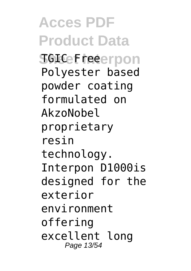**Acces PDF Product Data SGICeFreeerpon** Polyester based powder coating formulated on AkzoNobel proprietary resin technology. Interpon D1000is designed for the exterior environment offering excellent long Page 13/54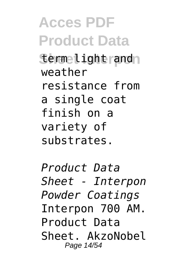**Acces PDF Product Data Sermelightrand** weather resistance from a single coat finish on a variety of substrates.

*Product Data Sheet - Interpon Powder Coatings* Interpon 700 AM. Product Data Sheet. AkzoNobel Page 14/54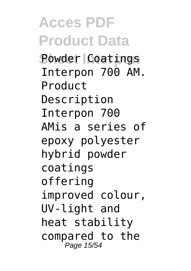**Acces PDF Product Data Powder Coatings** Interpon 700 AM. Product Description Interpon 700 AMis a series of epoxy polyester hybrid powder coatings offering improved colour, UV-light and heat stability compared to the Page 15/54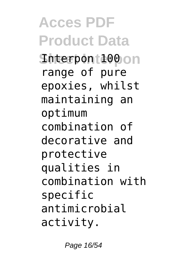**Acces PDF Product Data Shterpon 100** on range of pure epoxies, whilst maintaining an optimum combination of decorative and protective qualities in combination with specific antimicrobial activity.

Page 16/54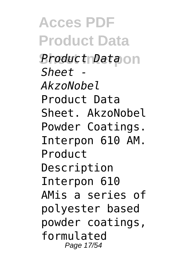**Acces PDF Product Data Sheet Interpon** *Product Data Sheet - AkzoNobel* Product Data Sheet. AkzoNobel Powder Coatings. Interpon 610 AM. Product Description Interpon 610 AMis a series of polyester based powder coatings, formulated Page 17/54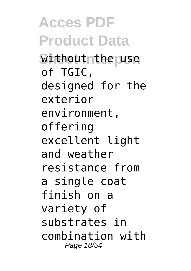**Acces PDF Product Data Withoutnthe use** of TGIC, designed for the exterior environment, offering excellent light and weather resistance from a single coat finish on a variety of substrates in combination with Page 18/54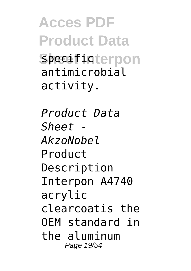**Acces PDF Product Data Specificterpon** antimicrobial activity.

*Product Data Sheet - AkzoNobel* Product Description Interpon A4740 acrylic clearcoatis the OEM standard in the aluminum Page 19/54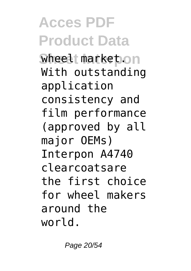### **Acces PDF Product Data Wheel market.on** With outstanding application consistency and film performance (approved by all major OEMs) Interpon A4740 clearcoatsare the first choice for wheel makers around the world.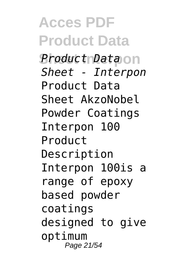**Acces PDF Product Data Sheet Interpon** *Product Data Sheet - Interpon* Product Data Sheet AkzoNobel Powder Coatings Interpon 100 Product Description Interpon 100is a range of epoxy based powder coatings designed to give optimum Page 21/54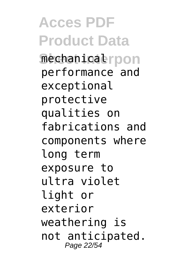**Acces PDF Product Data Sheet Interpon** mechanical performance and exceptional protective qualities on fabrications and components where long term exposure to ultra violet light or exterior weathering is not anticipated. Page 22/54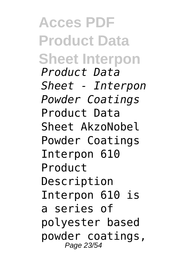**Acces PDF Product Data Sheet Interpon** *Product Data Sheet - Interpon Powder Coatings* Product Data Sheet AkzoNobel Powder Coatings Interpon 610 Product Description Interpon 610 is a series of polyester based powder coatings, Page 23/54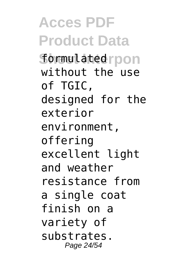**Acces PDF Product Data Sheet Interpon** formulated without the use of TGIC, designed for the exterior environment, offering excellent light and weather resistance from a single coat finish on a variety of substrates. Page 24/54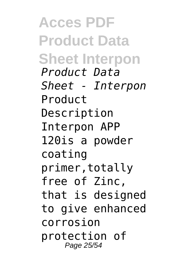**Acces PDF Product Data Sheet Interpon** *Product Data Sheet - Interpon* Product Description Interpon APP 120is a powder coating primer,totally free of Zinc, that is designed to give enhanced corrosion protection of Page 25/54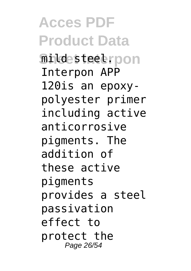**Acces PDF Product Data Sheet Interpon** mild steel. Interpon APP 120is an epoxypolyester primer including active anticorrosive pigments. The addition of these active pigments provides a steel passivation effect to protect the Page 26/54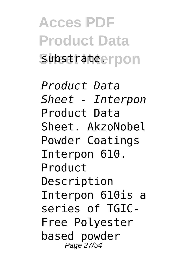**Acces PDF Product Data** Substrateerpon

*Product Data Sheet - Interpon* Product Data Sheet. AkzoNobel Powder Coatings Interpon 610. Product Description Interpon 610is a series of TGIC-Free Polyester based powder Page 27/54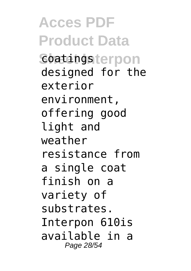**Acces PDF Product Data Soatingsterpon** designed for the exterior environment, offering good light and weather resistance from a single coat finish on a variety of substrates. Interpon 610is available in a Page 28/54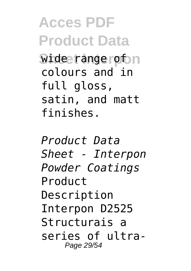**Acces PDF Product Data Wide range of n** colours and in full gloss, satin, and matt finishes.

*Product Data Sheet - Interpon Powder Coatings* Product Description Interpon D2525 Structurais a series of ultra-Page 29/54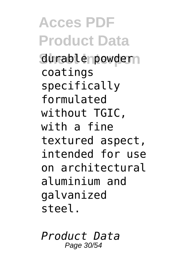**Acces PDF Product Data** durable powdern coatings specifically formulated without TGIC, with a fine textured aspect, intended for use on architectural aluminium and galvanized steel.

*Product Data* Page 30/54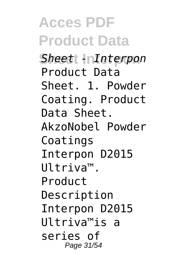**Acces PDF Product Data Sheet Interpon** *Sheet - Interpon* Product Data Sheet. 1. Powder Coating. Product Data Sheet. AkzoNobel Powder Coatings Interpon D2015 Ultriva™. Product Description Interpon D2015 Ultriva™is a series of Page 31/54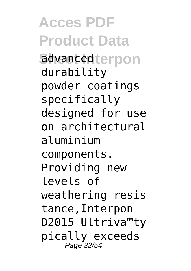**Acces PDF Product Data** advanced terpon durability powder coatings specifically designed for use on architectural aluminium components. Providing new levels of weathering resis tance,Interpon D2015 Ultriva™ty pically exceeds Page 32/54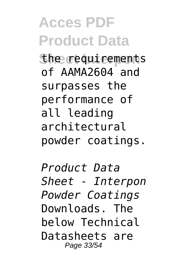**Acces PDF Product Data** *She requirements* of AAMA2604 and surpasses the performance of all leading architectural powder coatings.

*Product Data Sheet - Interpon Powder Coatings* Downloads. The below Technical Datasheets are Page 33/54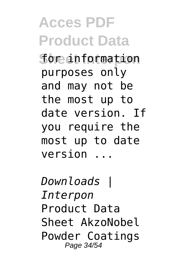**Acces PDF Product Data Sheet Interpon** for information purposes only and may not be the most up to date version. If you require the most up to date version ...

*Downloads | Interpon* Product Data Sheet AkzoNobel Powder Coatings Page 34/54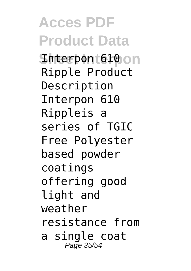**Acces PDF Product Data Shterpon 610**on Ripple Product Description Interpon 610 Rippleis a series of TGIC Free Polyester based powder coatings offering good light and weather resistance from a single coat Page 35/54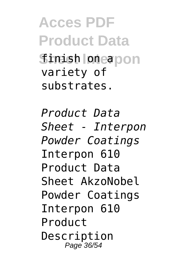**Acces PDF Product Data Simish oneapon** variety of substrates.

*Product Data Sheet - Interpon Powder Coatings* Interpon 610 Product Data Sheet AkzoNobel Powder Coatings Interpon 610 Product Description Page 36/54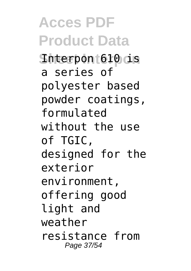**Acces PDF Product Data Sheet Interpon** Interpon 610 is a series of polyester based powder coatings, formulated without the use of TGIC, designed for the exterior environment, offering good light and weather resistance from Page 37/54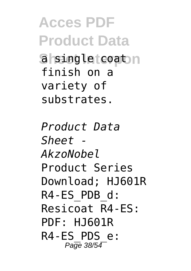**Acces PDF Product Data Sheet Independent** finish on a variety of substrates.

*Product Data Sheet - AkzoNobel* Product Series Download; HJ601R R4-ES\_PDB\_d: Resicoat R4-ES: PDF: HJ601R R4-ES\_PDS\_e: Page 38/54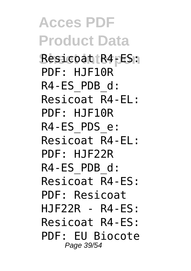**Acces PDF Product Data Sheet Interpon** Resicoat R4-ES: PDF: HJF10R R4-ES\_PDB\_d: Resicoat R4-EL: PDF: HJF10R R4-ES\_PDS\_e: Resicoat R4-EL: PDF: HJF22R R4-ES\_PDB\_d: Resicoat R4-ES: PDF: Resicoat HJF22R - R4-ES: Resicoat R4-ES: PDF: EU Biocote Page 39/54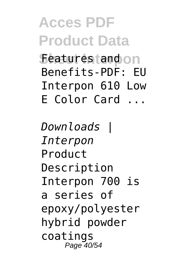**Acces PDF Product Data Seatures fandon** Benefits-PDF: EU Interpon 610 Low E Color Card ...

*Downloads | Interpon* Product Description Interpon 700 is a series of epoxy/polyester hybrid powder coatings Page 40/54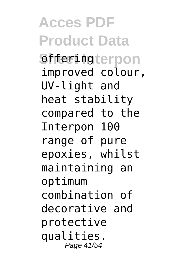**Acces PDF Product Data Sheet Interpon** offering improved colour, UV-light and heat stability compared to the Interpon 100 range of pure epoxies, whilst maintaining an optimum combination of decorative and protective qualities. Page 41/54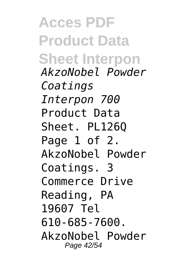**Acces PDF Product Data Sheet Interpon** *AkzoNobel Powder Coatings Interpon 700* Product Data Sheet. PL126Q Page 1 of 2. AkzoNobel Powder Coatings. 3 Commerce Drive Reading, PA 19607 Tel 610-685-7600. AkzoNobel Powder Page 42/54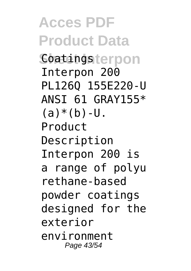**Acces PDF Product Data** Soatingsterpon Interpon 200 PL126Q 155E220-U ANSI 61 GRAY155\*  $(a)*(b)-U.$ Product Description Interpon 200 is a range of polyu rethane-based powder coatings designed for the exterior environment Page 43/54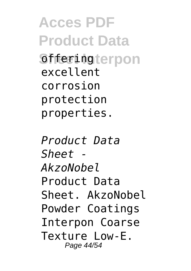**Acces PDF Product Data Shferingterpon** excellent corrosion protection properties.

*Product Data Sheet - AkzoNobel* Product Data Sheet. AkzoNobel Powder Coatings Interpon Coarse Texture Low-E. Page 44/54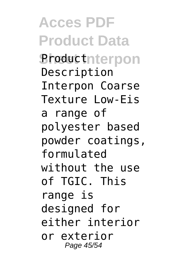**Acces PDF Product Data Sheductnterpon** Description Interpon Coarse Texture Low-Eis a range of polyester based powder coatings, formulated without the use of TGIC. This range is designed for either interior or exterior Page 45/54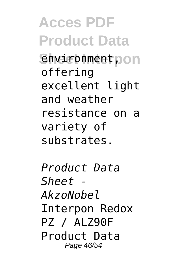**Acces PDF Product Data Sheet Don** offering excellent light and weather resistance on a variety of substrates.

*Product Data Sheet - AkzoNobel* Interpon Redox PZ / ALZ90F Product Data Page 46/54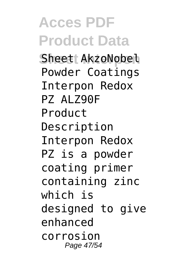## **Acces PDF Product Data**

**Sheet AkzoNobel** Powder Coatings Interpon Redox **PZ ALZ90F** Product Description Interpon Redox PZ is a powder coating primer containing zinc which is designed to give enhanced corrosion Page 47/54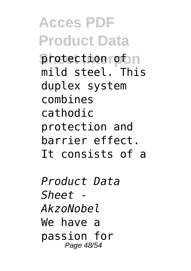**Acces PDF Product Data Sheet Interpon** protection of mild steel. This duplex system combines cathodic protection and barrier effect. It consists of a

*Product Data Sheet - AkzoNobel* We have a passion for Page 48/54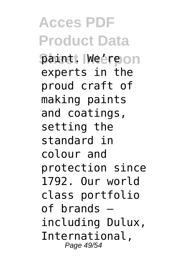**Acces PDF Product Data Baint. Weereon** experts in the proud craft of making paints and coatings, setting the standard in colour and protection since 1792. Our world class portfolio of brands – including Dulux, International, Page 49/54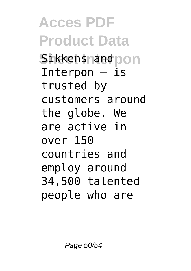**Acces PDF Product Data Sikkensnandpon** Interpon  $-$  is trusted by customers around the globe. We are active in over 150 countries and employ around 34,500 talented people who are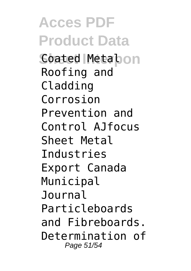**Acces PDF Product Data Sheet Interpon** Coated Metal Roofing and Cladding Corrosion Prevention and Control AJfocus Sheet Metal Industries Export Canada Municipal Journal Particleboards and Fibreboards. Determination of Page 51/54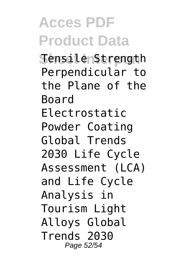## **Acces PDF Product Data**

**SensilenStrength** Perpendicular to the Plane of the Board Electrostatic Powder Coating Global Trends 2030 Life Cycle Assessment (LCA) and Life Cycle Analysis in Tourism Light Alloys Global Trends 2030 Page 52/54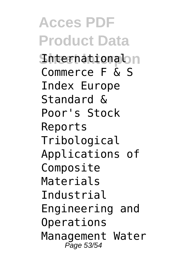**Acces PDF Product Data Shterhational**on Commerce F & S Index Europe Standard & Poor's Stock Reports Tribological Applications of Composite Materials Industrial Engineering and Operations Management Water Page 53/54